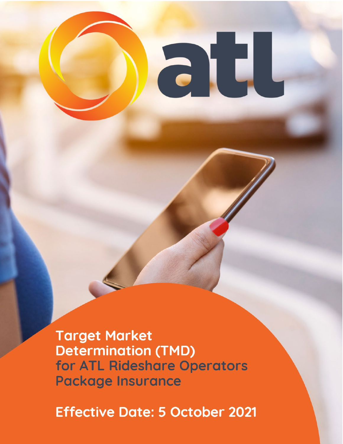al

**Target Market Determination (TMD)** for ATL Rideshare Operators **Package Insurance** 

**Effective Date: 5 October 2021**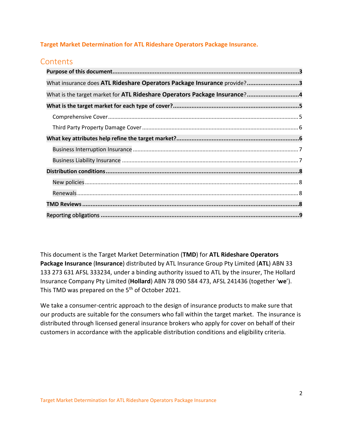## **Target Market Determination for ATL Rideshare Operators Package Insurance.**

# **Contents**

| What insurance does ATL Rideshare Operators Package Insurance provide?3   |
|---------------------------------------------------------------------------|
| What is the target market for ATL Rideshare Operators Package Insurance?4 |
|                                                                           |
|                                                                           |
|                                                                           |
|                                                                           |
|                                                                           |
|                                                                           |
|                                                                           |
|                                                                           |
|                                                                           |
|                                                                           |
|                                                                           |

This document is the Target Market Determination (**TMD**) for **ATL Rideshare Operators Package Insurance** (**Insurance**) distributed by ATL Insurance Group Pty Limited (**ATL**) ABN 33 133 273 631 AFSL 333234, under a binding authority issued to ATL by the insurer, The Hollard Insurance Company Pty Limited (**Hollard**) ABN 78 090 584 473, AFSL 241436 (together '**we**'). This TMD was prepared on the 5<sup>th</sup> of October 2021.

<span id="page-1-0"></span>We take a consumer-centric approach to the design of insurance products to make sure that our products are suitable for the consumers who fall within the target market. The insurance is distributed through licensed general insurance brokers who apply for cover on behalf of their customers in accordance with the applicable distribution conditions and eligibility criteria.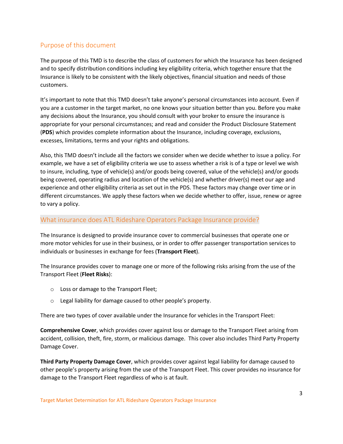# Purpose of this document

The purpose of this TMD is to describe the class of customers for which the Insurance has been designed and to specify distribution conditions including key eligibility criteria, which together ensure that the Insurance is likely to be consistent with the likely objectives, financial situation and needs of those customers.

It's important to note that this TMD doesn't take anyone's personal circumstances into account. Even if you are a customer in the target market, no one knows your situation better than you. Before you make any decisions about the Insurance, you should consult with your broker to ensure the insurance is appropriate for your personal circumstances; and read and consider the Product Disclosure Statement (**PDS**) which provides complete information about the Insurance, including coverage, exclusions, excesses, limitations, terms and your rights and obligations.

Also, this TMD doesn't include all the factors we consider when we decide whether to issue a policy. For example, we have a set of eligibility criteria we use to assess whether a risk is of a type or level we wish to insure, including, type of vehicle(s) and/or goods being covered, value of the vehicle(s) and/or goods being covered, operating radius and location of the vehicle(s) and whether driver(s) meet our age and experience and other eligibility criteria as set out in the PDS. These factors may change over time or in different circumstances. We apply these factors when we decide whether to offer, issue, renew or agree to vary a policy.

## <span id="page-2-0"></span>What insurance does ATL Rideshare Operators Package Insurance provide?

The Insurance is designed to provide insurance cover to commercial businesses that operate one or more motor vehicles for use in their business, or in order to offer passenger transportation services to individuals or businesses in exchange for fees (**Transport Fleet**).

The Insurance provides cover to manage one or more of the following risks arising from the use of the Transport Fleet (**Fleet Risks**):

- o Loss or damage to the Transport Fleet;
- o Legal liability for damage caused to other people's property.

There are two types of cover available under the Insurance for vehicles in the Transport Fleet:

**Comprehensive Cover**, which provides cover against loss or damage to the Transport Fleet arising from accident, collision, theft, fire, storm, or malicious damage. This cover also includes Third Party Property Damage Cover.

**Third Party Property Damage Cover**, which provides cover against legal liability for damage caused to other people's property arising from the use of the Transport Fleet. This cover provides no insurance for damage to the Transport Fleet regardless of who is at fault.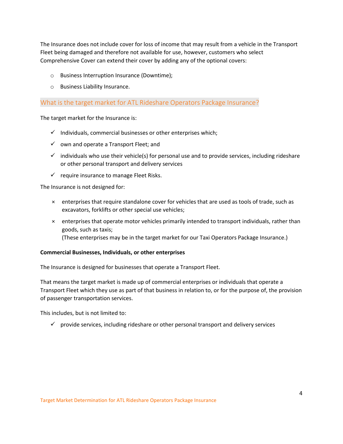The Insurance does not include cover for loss of income that may result from a vehicle in the Transport Fleet being damaged and therefore not available for use, however, customers who select Comprehensive Cover can extend their cover by adding any of the optional covers:

- o Business Interruption Insurance (Downtime);
- o Business Liability Insurance.

<span id="page-3-0"></span>What is the target market for ATL Rideshare Operators Package Insurance?

The target market for the Insurance is:

- $\checkmark$  Individuals, commercial businesses or other enterprises which;
- $\checkmark$  own and operate a Transport Fleet; and
- $\checkmark$  individuals who use their vehicle(s) for personal use and to provide services, including rideshare or other personal transport and delivery services
- $\checkmark$  require insurance to manage Fleet Risks.

The Insurance is not designed for:

- × enterprises that require standalone cover for vehicles that are used as tools of trade, such as excavators, forklifts or other special use vehicles;
- × enterprises that operate motor vehicles primarily intended to transport individuals, rather than goods, such as taxis; (These enterprises may be in the target market for our Taxi Operators Package Insurance.)

### **Commercial Businesses, Individuals, or other enterprises**

The Insurance is designed for businesses that operate a Transport Fleet.

That means the target market is made up of commercial enterprises or individuals that operate a Transport Fleet which they use as part of that business in relation to, or for the purpose of, the provision of passenger transportation services.

This includes, but is not limited to:

 $\checkmark$  provide services, including rideshare or other personal transport and delivery services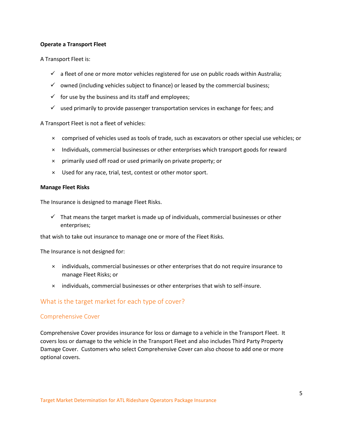#### **Operate a Transport Fleet**

A Transport Fleet is:

- $\checkmark$  a fleet of one or more motor vehicles registered for use on public roads within Australia;
- $\checkmark$  owned (including vehicles subject to finance) or leased by the commercial business;
- $\checkmark$  for use by the business and its staff and employees;
- $\checkmark$  used primarily to provide passenger transportation services in exchange for fees; and

A Transport Fleet is not a fleet of vehicles:

- × comprised of vehicles used as tools of trade, such as excavators or other special use vehicles; or
- × Individuals, commercial businesses or other enterprises which transport goods for reward
- × primarily used off road or used primarily on private property; or
- × Used for any race, trial, test, contest or other motor sport.

#### **Manage Fleet Risks**

The Insurance is designed to manage Fleet Risks.

 $\checkmark$  That means the target market is made up of individuals, commercial businesses or other enterprises;

that wish to take out insurance to manage one or more of the Fleet Risks.

The Insurance is not designed for:

- × individuals, commercial businesses or other enterprises that do not require insurance to manage Fleet Risks; or
- × individuals, commercial businesses or other enterprises that wish to self-insure.

## <span id="page-4-0"></span>What is the target market for each type of cover?

#### <span id="page-4-1"></span>Comprehensive Cover

Comprehensive Cover provides insurance for loss or damage to a vehicle in the Transport Fleet. It covers loss or damage to the vehicle in the Transport Fleet and also includes Third Party Property Damage Cover. Customers who select Comprehensive Cover can also choose to add one or more optional covers.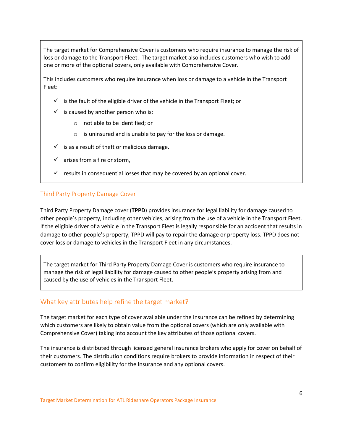The target market for Comprehensive Cover is customers who require insurance to manage the risk of loss or damage to the Transport Fleet. The target market also includes customers who wish to add one or more of the optional covers, only available with Comprehensive Cover.

This includes customers who require insurance when loss or damage to a vehicle in the Transport Fleet:

- $\checkmark$  is the fault of the eligible driver of the vehicle in the Transport Fleet; or
- $\checkmark$  is caused by another person who is:
	- o not able to be identified; or
	- o is uninsured and is unable to pay for the loss or damage.
- $\checkmark$  is as a result of theft or malicious damage.
- $\checkmark$  arises from a fire or storm,
- $\checkmark$  results in consequential losses that may be covered by an optional cover.

### <span id="page-5-0"></span>Third Party Property Damage Cover

Third Party Property Damage cover (**TPPD**) provides insurance for legal liability for damage caused to other people's property, including other vehicles, arising from the use of a vehicle in the Transport Fleet. If the eligible driver of a vehicle in the Transport Fleet is legally responsible for an accident that results in damage to other people's property, TPPD will pay to repair the damage or property loss. TPPD does not cover loss or damage to vehicles in the Transport Fleet in any circumstances.

The target market for Third Party Property Damage Cover is customers who require insurance to manage the risk of legal liability for damage caused to other people's property arising from and caused by the use of vehicles in the Transport Fleet.

## <span id="page-5-1"></span>What key attributes help refine the target market?

The target market for each type of cover available under the Insurance can be refined by determining which customers are likely to obtain value from the optional covers (which are only available with Comprehensive Cover) taking into account the key attributes of those optional covers.

The insurance is distributed through licensed general insurance brokers who apply for cover on behalf of their customers. The distribution conditions require brokers to provide information in respect of their customers to confirm eligibility for the Insurance and any optional covers.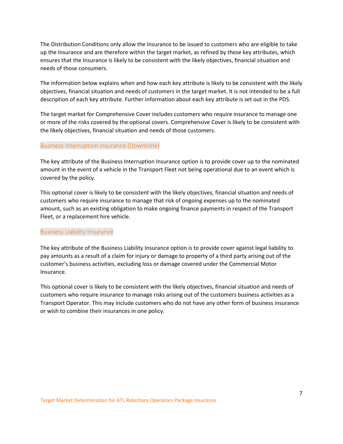The Distribution Conditions only allow the Insurance to be issued to customers who are eligible to take up the Insurance and are therefore within the target market, as refined by these key attributes, which ensures that the Insurance is likely to be consistent with the likely objectives, financial situation and needs of those consumers.

The information below explains when and how each key attribute is likely to be consistent with the likely objectives, financial situation and needs of customers in the target market. It is not intended to be a full description of each key attribute. Further information about each key attribute is set out in the PDS.

The target market for Comprehensive Cover includes customers who require insurance to manage one or more of the risks covered by the optional covers. Comprehensive Cover is likely to be consistent with the likely objectives, financial situation and needs of those customers.

### <span id="page-6-0"></span>Business Interruption Insurance (Downtime)

The key attribute of the Business Interruption Insurance option is to provide cover up to the nominated amount in the event of a vehicle in the Transport Fleet not being operational due to an event which is covered by the policy.

This optional cover is likely to be consistent with the likely objectives, financial situation and needs of customers who require insurance to manage that risk of ongoing expenses up to the nominated amount, such as an existing obligation to make ongoing finance payments in respect of the Transport Fleet, or a replacement hire vehicle.

#### <span id="page-6-1"></span>Business Liability Insurance

The key attribute of the Business Liability Insurance option is to provide cover against legal liability to pay amounts as a result of a claim for injury or damage to property of a third party arising out of the customer's business activities, excluding loss or damage covered under the Commercial Motor Insurance.

This optional cover is likely to be consistent with the likely objectives, financial situation and needs of customers who require insurance to manage risks arising out of the customers business activities as a Transport Operator. This may include customers who do not have any other form of business insurance or wish to combine their insurances in one policy.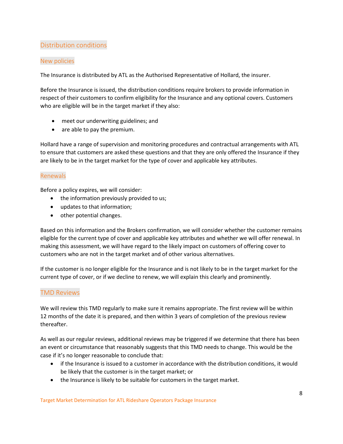# <span id="page-7-0"></span>Distribution conditions

## <span id="page-7-1"></span>New policies

The Insurance is distributed by ATL as the Authorised Representative of Hollard, the insurer.

Before the Insurance is issued, the distribution conditions require brokers to provide information in respect of their customers to confirm eligibility for the Insurance and any optional covers. Customers who are eligible will be in the target market if they also:

- meet our underwriting guidelines; and
- are able to pay the premium.

Hollard have a range of supervision and monitoring procedures and contractual arrangements with ATL to ensure that customers are asked these questions and that they are only offered the Insurance if they are likely to be in the target market for the type of cover and applicable key attributes.

## <span id="page-7-2"></span>Renewals

Before a policy expires, we will consider:

- the information previously provided to us;
- updates to that information;
- other potential changes.

Based on this information and the Brokers confirmation, we will consider whether the customer remains eligible for the current type of cover and applicable key attributes and whether we will offer renewal. In making this assessment, we will have regard to the likely impact on customers of offering cover to customers who are not in the target market and of other various alternatives.

If the customer is no longer eligible for the Insurance and is not likely to be in the target market for the current type of cover, or if we decline to renew, we will explain this clearly and prominently.

## <span id="page-7-3"></span>TMD Reviews

We will review this TMD regularly to make sure it remains appropriate. The first review will be within 12 months of the date it is prepared, and then within 3 years of completion of the previous review thereafter.

As well as our regular reviews, additional reviews may be triggered if we determine that there has been an event or circumstance that reasonably suggests that this TMD needs to change. This would be the case if it's no longer reasonable to conclude that:

- if the Insurance is issued to a customer in accordance with the distribution conditions, it would be likely that the customer is in the target market; or
- the Insurance is likely to be suitable for customers in the target market.